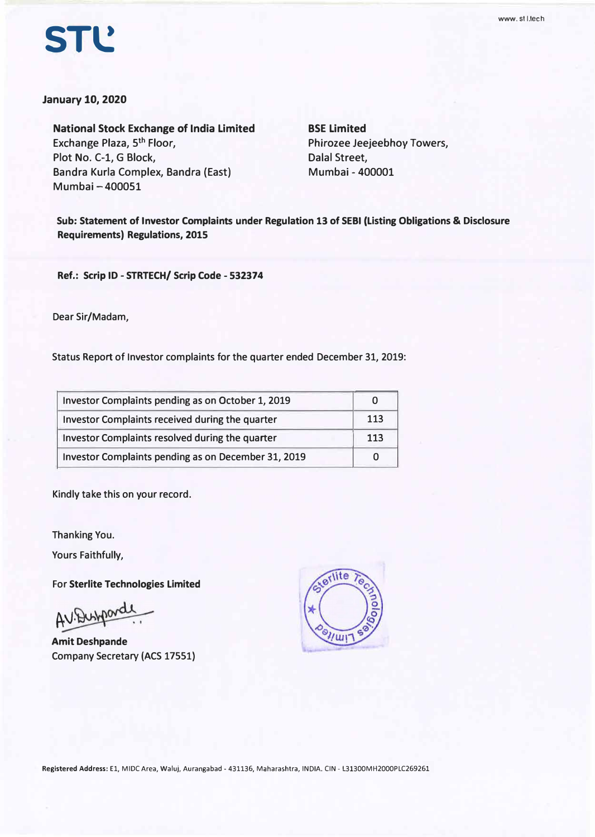# **STl!**

#### **January 10, 2020**

**National Stock Exchange of India Limited**  Exchange Plaza, 5<sup>th</sup> Floor, **Plot No. C-1, G Block, Sandra Kurla Complex, Sandra (East) Mumbai - 400051** 

**BSE Limited Phirozee Jeejeebhoy Towers, Dalal Street, Mumbai - 400001** 

**Sub: Statement of Investor Complaints under Regulation 13 of SEBI (Listing Obligations & Disclosure Requirements) Regulations, 2015** 

**Ref.: Scrip ID - STRTECH/ Scrip Code - 532374** 

**Dear Sir/Madam,** 

**Status Report of Investor complaints for the quarter ended December 31, 2019:** 

| Investor Complaints pending as on October 1, 2019   |     |
|-----------------------------------------------------|-----|
| Investor Complaints received during the quarter     | 113 |
| Investor Complaints resolved during the quarter     | 113 |
| Investor Complaints pending as on December 31, 2019 |     |

**Kindly take this on your record.** 

**Thanking You.** 

**Yours Faithfully,** 

**For Sterlite Technologies Limited** 

AV. Dushpord

**Amit Deshpande Company Secretary (ACS 17551)** 

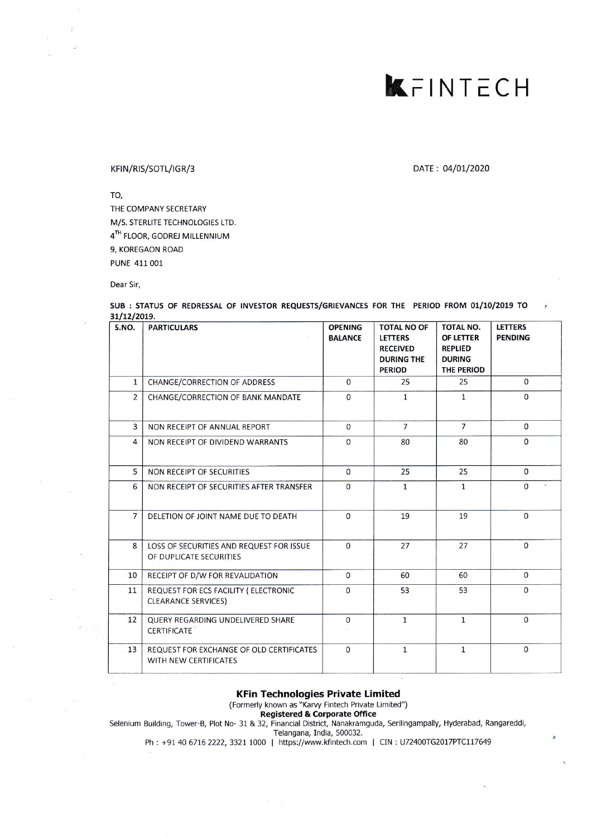### KFINTECH

### KFIN/RIS/SOTL/IGR/3 DATE: 04/01/2020

TO,

THE COMPANY SECRETARY M/S. STERLITE TECHNOLOGIES LTD. 4TH FLOOR, GODREJ MILLENNIUM 9, KOREGAON ROAD PUNE 411001

Dear Sir,

| S.NO.          | <b>PARTICULARS</b>                                                  | <b>OPENING</b><br><b>BALANCE</b> | <b>TOTAL NO OF</b><br><b>LETTERS</b><br><b>RECEIVED</b><br><b>DURING THE</b><br><b>PERIOD</b> | <b>TOTAL NO.</b><br>OF LETTER<br><b>REPLIED</b><br><b>DURING</b><br>THE PERIOD | <b>LETTERS</b><br><b>PENDING</b> |
|----------------|---------------------------------------------------------------------|----------------------------------|-----------------------------------------------------------------------------------------------|--------------------------------------------------------------------------------|----------------------------------|
| $\mathbf{1}$   | CHANGE/CORRECTION OF ADDRESS                                        | $\mathbf{0}$                     | 25                                                                                            | 25                                                                             | $\mathbf{0}$                     |
| $\overline{2}$ | CHANGE/CORRECTION OF BANK MANDATE                                   | 0                                | $\mathbf{1}$                                                                                  | $\mathbf{1}$                                                                   | $\Omega$                         |
| 3              | NON RECEIPT OF ANNUAL REPORT                                        | $\mathbf{0}$                     | $\overline{7}$                                                                                | $\overline{7}$                                                                 | $\mathbf 0$                      |
| $\overline{4}$ | NON RECEIPT OF DIVIDEND WARRANTS                                    | $\Omega$                         | 80                                                                                            | 80                                                                             | $\Omega$                         |
| 5              | NON RECEIPT OF SECURITIES                                           | $\Omega$                         | 25                                                                                            | 25                                                                             | $\mathbf{0}$                     |
| 6              | NON RECEIPT OF SECURITIES AFTER TRANSFER                            | $\Omega$                         | $\mathbf{1}$                                                                                  | $\mathbf{1}$                                                                   | $\Omega$                         |
| $\overline{7}$ | DELETION OF JOINT NAME DUE TO DEATH                                 | $\Omega$                         | 19                                                                                            | 19                                                                             | $\mathbf{0}$                     |
| 8              | LOSS OF SECURITIES AND REQUEST FOR ISSUE<br>OF DUPLICATE SECURITIES | $\Omega$                         | 27                                                                                            | 27                                                                             | $\overline{0}$                   |
| 10             | RECEIPT OF D/W FOR REVALIDATION                                     | $\Omega$                         | 60                                                                                            | 60                                                                             | $\Omega$                         |
| 11             | REQUEST FOR ECS FACILITY ( ELECTRONIC<br><b>CLEARANCE SERVICES)</b> | $\Omega$                         | 53                                                                                            | 53                                                                             | $\Omega$                         |
| 12             | QUERY REGARDING UNDELIVERED SHARE<br><b>CERTIFICATE</b>             | $\mathbf{0}$                     | $\mathbf{1}$                                                                                  | $\mathbf{1}$                                                                   | $\Omega$                         |
| 13             | REQUEST FOR EXCHANGE OF OLD CERTIFICATES<br>WITH NEW CERTIFICATES   | $\Omega$                         | $\mathbf{1}$                                                                                  | $\overline{1}$                                                                 | $\Omega$                         |

### SUB : STATUS OF REDRESSAL OF INVESTOR REQUESTS/GRIEVANCES FOR THE PERIOD FROM 01/10/2019 TO

KFin Technologies Private Limited

(Formerly known as "Karvy Fintech Private Limited")

Registered & Corporate office

Selenium Building, Tower-B, Plot No- 31 & 32, Financial District, Nanakramguda, Serilingampally, Hyderabad, Rangareddi,

Telangana, India, 500032.

Ph : +91 40 6716 2222, 3321 1000 | https://www.kfintech.com | CIN : U72400TG2017PTC117649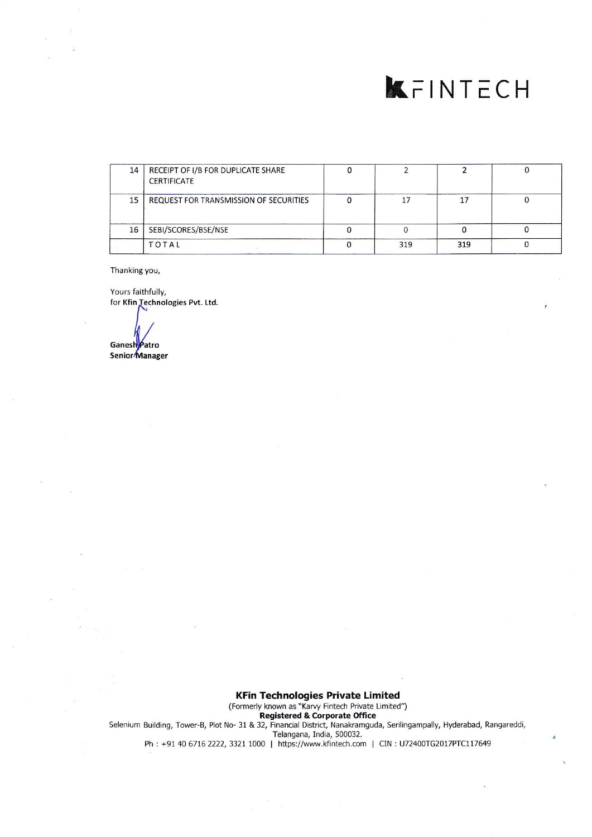## **K**FINTECH

| 14 | RECEIPT OF I/B FOR DUPLICATE SHARE<br><b>CERTIFICATE</b> |     |     |  |
|----|----------------------------------------------------------|-----|-----|--|
| 15 | REQUEST FOR TRANSMISSION OF SECURITIES                   |     |     |  |
| 16 | SEBI/SCORES/BSE/NSE                                      |     |     |  |
|    | <b>TOTAL</b>                                             | 319 | 319 |  |

Thanking you,

Yours faithfully, for Kfin Technologies Pvt. Ltd.

Ganesh Patro<br>Senior Manager

KFin Technologies Private Limited (Formerly known as "Karvy Fintech Private Limited") Registered & corporate Office Selenium Building, Tower-8, Plot No- 31 & 32, Financial District, Nanakramguda. Serilingampally, Hyderabad, Rangareddi, Telangana, India, 500032. Ph: +91 40 6716 2222, 3321 1000 | https://www.kfintech.com | CIN: U72400TG2017PTC117649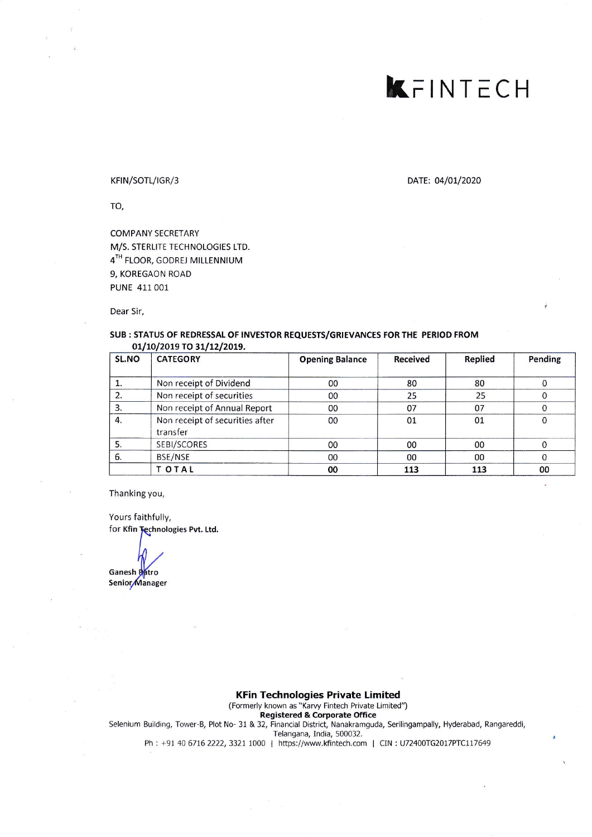### KFINTECH

### KFIN/SOTL/IGR/3

DATE: 04/01/2020

TO,

**COMPANY SECRETARY** M/S. STERLITE TECHNOLOGIES LTD. 4TH FLOOR, GODREJ MILLENNIUM 9, KOREGAON ROAD PUNE 411 001

Dear Sir,

#### SUB : STATUS OF REDRESSAL OF INVESTOR REQUESTS/GRIEVANCES FOR THE PERIOD FROM 01/10/2019 TO 31/12/2019.

| SL.NO | <b>CATEGORY</b>                             | <b>Opening Balance</b> | <b>Received</b> | <b>Replied</b> | Pending |
|-------|---------------------------------------------|------------------------|-----------------|----------------|---------|
|       | Non receipt of Dividend                     | OO.                    | 80              | 80             |         |
| 2.    | Non receipt of securities                   | 00                     | 25              | 25             |         |
| 3.    | Non receipt of Annual Report                | 00                     | 07              | 07             |         |
| 4.    | Non receipt of securities after<br>transfer | 00                     | 01              | 01             |         |
|       | SEBI/SCORES                                 | 00                     | 00              | 00             |         |
| 6.    | BSE/NSE                                     | $00\,$                 | 00              | 00             |         |
|       | T OTAL                                      | 00                     | 113             | 113            | 00      |

Thanking you,

Yours faithfully, for Kfin Technologies Pvt. Ltd.

Ganesh Patro

Senior Manager

#### **KFin Technologies Private Limited**

(Formerly known as "Karvy Fintech Private Limited")

**Registered & Corporate Office** 

Selenium Building, Tower-B, Plot No- 31 & 32, Financial District, Nanakramguda, Serilingampally, Hyderabad, Rangareddi,

Telangana, India, 500032.

Ph: +91 40 6716 2222, 3321 1000 | https://www.kfintech.com | CIN: U72400TG2017PTC117649